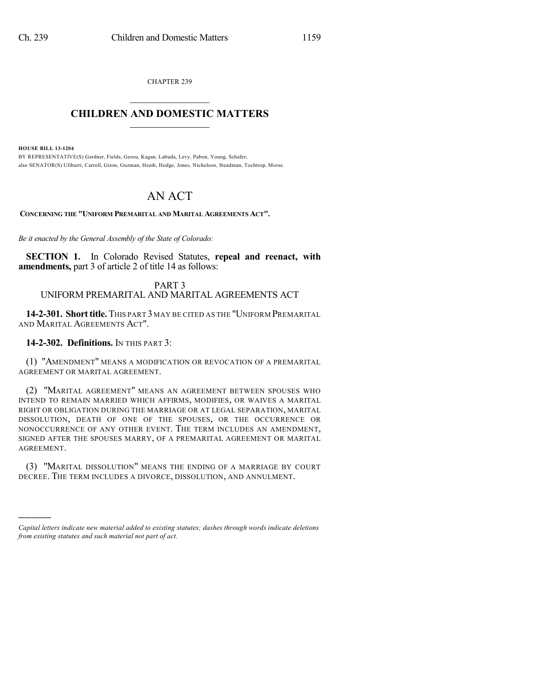CHAPTER 239  $\mathcal{L}_\text{max}$  . The set of the set of the set of the set of the set of the set of the set of the set of the set of the set of the set of the set of the set of the set of the set of the set of the set of the set of the set

# **CHILDREN AND DOMESTIC MATTERS**  $\_$

**HOUSE BILL 13-1204**

)))))

BY REPRESENTATIVE(S) Gardner, Fields, Gerou, Kagan, Labuda, Levy, Pabon, Young, Schafer; also SENATOR(S) Ulibarri, Carroll, Giron, Guzman, Heath, Hodge, Jones, Nicholson, Steadman, Tochtrop, Morse.

# AN ACT

**CONCERNING THE "UNIFORM PREMARITAL AND MARITAL AGREEMENTS ACT".**

*Be it enacted by the General Assembly of the State of Colorado:*

**SECTION 1.** In Colorado Revised Statutes, **repeal and reenact, with amendments,** part 3 of article 2 of title 14 as follows:

### PART 3 UNIFORM PREMARITAL AND MARITAL AGREEMENTS ACT

**14-2-301. Shorttitle.** THIS PART 3 MAY BE CITED AS THE "UNIFORM PREMARITAL AND MARITAL AGREEMENTS ACT".

## **14-2-302. Definitions.** IN THIS PART 3:

(1) "AMENDMENT" MEANS A MODIFICATION OR REVOCATION OF A PREMARITAL AGREEMENT OR MARITAL AGREEMENT.

(2) "MARITAL AGREEMENT" MEANS AN AGREEMENT BETWEEN SPOUSES WHO INTEND TO REMAIN MARRIED WHICH AFFIRMS, MODIFIES, OR WAIVES A MARITAL RIGHT OR OBLIGATION DURING THE MARRIAGE OR AT LEGAL SEPARATION, MARITAL DISSOLUTION, DEATH OF ONE OF THE SPOUSES, OR THE OCCURRENCE OR NONOCCURRENCE OF ANY OTHER EVENT. THE TERM INCLUDES AN AMENDMENT, SIGNED AFTER THE SPOUSES MARRY, OF A PREMARITAL AGREEMENT OR MARITAL AGREEMENT.

(3) "MARITAL DISSOLUTION" MEANS THE ENDING OF A MARRIAGE BY COURT DECREE. THE TERM INCLUDES A DIVORCE, DISSOLUTION, AND ANNULMENT.

*Capital letters indicate new material added to existing statutes; dashes through words indicate deletions from existing statutes and such material not part of act.*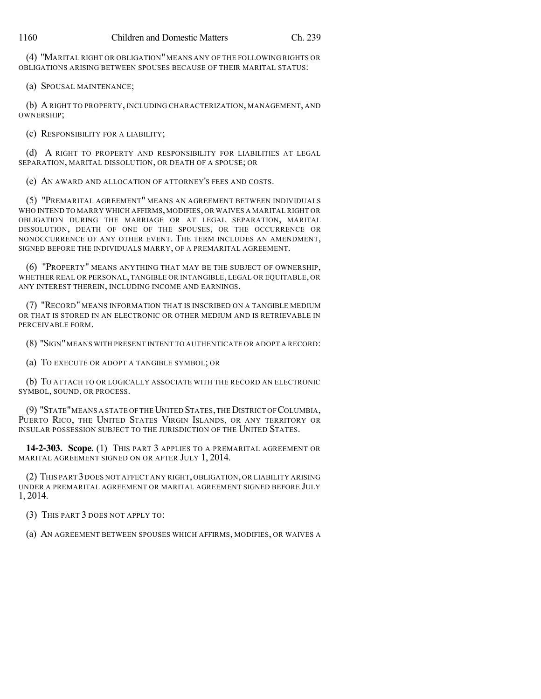(4) "MARITAL RIGHT OR OBLIGATION" MEANS ANY OF THE FOLLOWING RIGHTS OR OBLIGATIONS ARISING BETWEEN SPOUSES BECAUSE OF THEIR MARITAL STATUS:

(a) SPOUSAL MAINTENANCE;

(b) ARIGHT TO PROPERTY, INCLUDING CHARACTERIZATION, MANAGEMENT, AND OWNERSHIP;

(c) RESPONSIBILITY FOR A LIABILITY;

(d) A RIGHT TO PROPERTY AND RESPONSIBILITY FOR LIABILITIES AT LEGAL SEPARATION, MARITAL DISSOLUTION, OR DEATH OF A SPOUSE; OR

(e) AN AWARD AND ALLOCATION OF ATTORNEY'S FEES AND COSTS.

(5) "PREMARITAL AGREEMENT" MEANS AN AGREEMENT BETWEEN INDIVIDUALS WHO INTEND TO MARRY WHICH AFFIRMS,MODIFIES, OR WAIVES A MARITAL RIGHT OR OBLIGATION DURING THE MARRIAGE OR AT LEGAL SEPARATION, MARITAL DISSOLUTION, DEATH OF ONE OF THE SPOUSES, OR THE OCCURRENCE OR NONOCCURRENCE OF ANY OTHER EVENT. THE TERM INCLUDES AN AMENDMENT, SIGNED BEFORE THE INDIVIDUALS MARRY, OF A PREMARITAL AGREEMENT.

(6) "PROPERTY" MEANS ANYTHING THAT MAY BE THE SUBJECT OF OWNERSHIP, WHETHER REAL OR PERSONAL, TANGIBLE OR INTANGIBLE, LEGAL OR EQUITABLE, OR ANY INTEREST THEREIN, INCLUDING INCOME AND EARNINGS.

(7) "RECORD" MEANS INFORMATION THAT IS INSCRIBED ON A TANGIBLE MEDIUM OR THAT IS STORED IN AN ELECTRONIC OR OTHER MEDIUM AND IS RETRIEVABLE IN PERCEIVABLE FORM.

(8) "SIGN"MEANS WITH PRESENT INTENT TO AUTHENTICATE OR ADOPT A RECORD:

(a) TO EXECUTE OR ADOPT A TANGIBLE SYMBOL; OR

(b) TO ATTACH TO OR LOGICALLY ASSOCIATE WITH THE RECORD AN ELECTRONIC SYMBOL, SOUND, OR PROCESS.

(9) "STATE"MEANS A STATE OF THEUNITED STATES,THEDISTRICT OF COLUMBIA, PUERTO RICO, THE UNITED STATES VIRGIN ISLANDS, OR ANY TERRITORY OR INSULAR POSSESSION SUBJECT TO THE JURISDICTION OF THE UNITED STATES.

**14-2-303. Scope.** (1) THIS PART 3 APPLIES TO A PREMARITAL AGREEMENT OR MARITAL AGREEMENT SIGNED ON OR AFTER JULY 1, 2014.

(2) THIS PART 3DOES NOT AFFECT ANY RIGHT, OBLIGATION, OR LIABILITY ARISING UNDER A PREMARITAL AGREEMENT OR MARITAL AGREEMENT SIGNED BEFORE JULY 1, 2014.

(3) THIS PART 3 DOES NOT APPLY TO:

(a) AN AGREEMENT BETWEEN SPOUSES WHICH AFFIRMS, MODIFIES, OR WAIVES A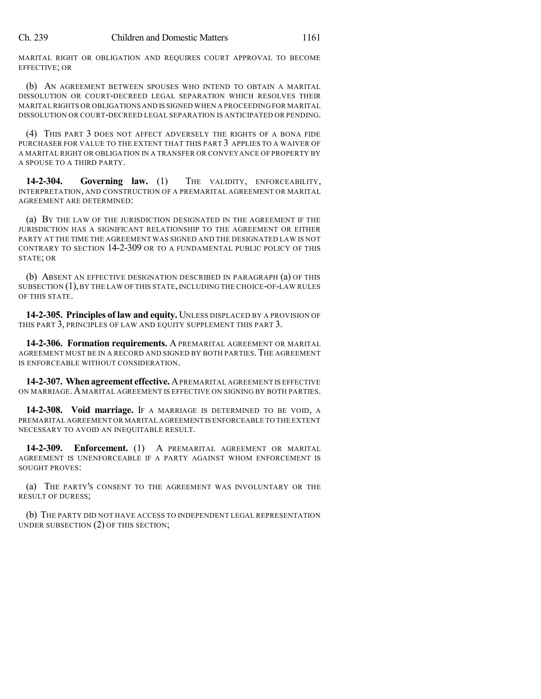MARITAL RIGHT OR OBLIGATION AND REQUIRES COURT APPROVAL TO BECOME EFFECTIVE; OR

(b) AN AGREEMENT BETWEEN SPOUSES WHO INTEND TO OBTAIN A MARITAL DISSOLUTION OR COURT-DECREED LEGAL SEPARATION WHICH RESOLVES THEIR MARITALRIGHTS OR OBLIGATIONS AND IS SIGNED WHEN A PROCEEDING FOR MARITAL DISSOLUTION OR COURT-DECREED LEGAL SEPARATION IS ANTICIPATED OR PENDING.

(4) THIS PART 3 DOES NOT AFFECT ADVERSELY THE RIGHTS OF A BONA FIDE PURCHASER FOR VALUE TO THE EXTENT THAT THIS PART 3 APPLIES TO A WAIVER OF A MARITAL RIGHT OR OBLIGATION IN A TRANSFER OR CONVEYANCE OF PROPERTY BY A SPOUSE TO A THIRD PARTY.

**14-2-304. Governing law.** (1) THE VALIDITY, ENFORCEABILITY, INTERPRETATION, AND CONSTRUCTION OF A PREMARITAL AGREEMENT OR MARITAL AGREEMENT ARE DETERMINED:

(a) BY THE LAW OF THE JURISDICTION DESIGNATED IN THE AGREEMENT IF THE JURISDICTION HAS A SIGNIFICANT RELATIONSHIP TO THE AGREEMENT OR EITHER PARTY AT THE TIME THE AGREEMENT WAS SIGNED AND THE DESIGNATED LAW IS NOT CONTRARY TO SECTION 14-2-309 OR TO A FUNDAMENTAL PUBLIC POLICY OF THIS STATE; OR

(b) ABSENT AN EFFECTIVE DESIGNATION DESCRIBED IN PARAGRAPH (a) OF THIS SUBSECTION (1), BY THE LAW OF THIS STATE, INCLUDING THE CHOICE-OF-LAW RULES OF THIS STATE.

**14-2-305. Principles of law and equity.** UNLESS DISPLACED BY A PROVISION OF THIS PART 3, PRINCIPLES OF LAW AND EQUITY SUPPLEMENT THIS PART 3.

**14-2-306. Formation requirements.** A PREMARITAL AGREEMENT OR MARITAL AGREEMENT MUST BE IN A RECORD AND SIGNED BY BOTH PARTIES.THE AGREEMENT IS ENFORCEABLE WITHOUT CONSIDERATION.

**14-2-307. Whenagreement effective.** APREMARITAL AGREEMENT IS EFFECTIVE ON MARRIAGE.A MARITAL AGREEMENT IS EFFECTIVE ON SIGNING BY BOTH PARTIES.

**14-2-308. Void marriage.** IF A MARRIAGE IS DETERMINED TO BE VOID, A PREMARITAL AGREEMENT OR MARITAL AGREEMENT IS ENFORCEABLE TO THE EXTENT NECESSARY TO AVOID AN INEQUITABLE RESULT.

**14-2-309. Enforcement.** (1) A PREMARITAL AGREEMENT OR MARITAL AGREEMENT IS UNENFORCEABLE IF A PARTY AGAINST WHOM ENFORCEMENT IS SOUGHT PROVES:

(a) THE PARTY'S CONSENT TO THE AGREEMENT WAS INVOLUNTARY OR THE RESULT OF DURESS;

(b) THE PARTY DID NOT HAVE ACCESS TO INDEPENDENT LEGAL REPRESENTATION UNDER SUBSECTION (2) OF THIS SECTION;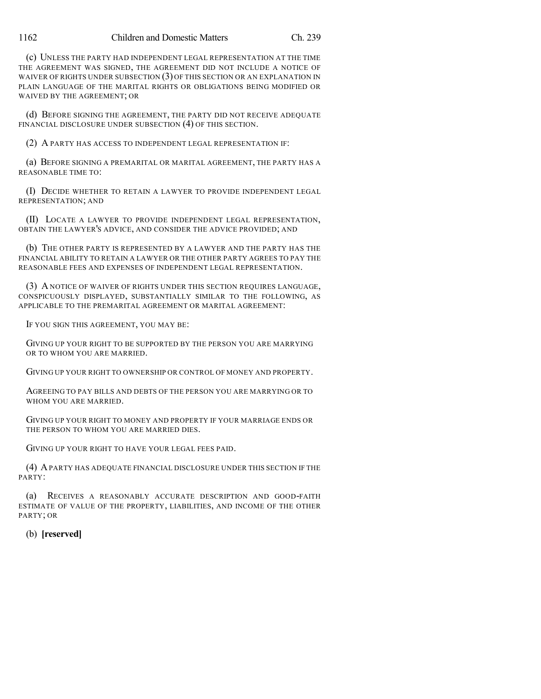(c) UNLESS THE PARTY HAD INDEPENDENT LEGAL REPRESENTATION AT THE TIME THE AGREEMENT WAS SIGNED, THE AGREEMENT DID NOT INCLUDE A NOTICE OF WAIVER OF RIGHTS UNDER SUBSECTION (3) OF THIS SECTION OR AN EXPLANATION IN PLAIN LANGUAGE OF THE MARITAL RIGHTS OR OBLIGATIONS BEING MODIFIED OR WAIVED BY THE AGREEMENT; OR

(d) BEFORE SIGNING THE AGREEMENT, THE PARTY DID NOT RECEIVE ADEQUATE FINANCIAL DISCLOSURE UNDER SUBSECTION (4) OF THIS SECTION.

(2) A PARTY HAS ACCESS TO INDEPENDENT LEGAL REPRESENTATION IF:

(a) BEFORE SIGNING A PREMARITAL OR MARITAL AGREEMENT, THE PARTY HAS A REASONABLE TIME TO:

(I) DECIDE WHETHER TO RETAIN A LAWYER TO PROVIDE INDEPENDENT LEGAL REPRESENTATION; AND

(II) LOCATE A LAWYER TO PROVIDE INDEPENDENT LEGAL REPRESENTATION, OBTAIN THE LAWYER'S ADVICE, AND CONSIDER THE ADVICE PROVIDED; AND

(b) THE OTHER PARTY IS REPRESENTED BY A LAWYER AND THE PARTY HAS THE FINANCIAL ABILITY TO RETAIN A LAWYER OR THE OTHER PARTY AGREES TO PAY THE REASONABLE FEES AND EXPENSES OF INDEPENDENT LEGAL REPRESENTATION.

(3) A NOTICE OF WAIVER OF RIGHTS UNDER THIS SECTION REQUIRES LANGUAGE, CONSPICUOUSLY DISPLAYED, SUBSTANTIALLY SIMILAR TO THE FOLLOWING, AS APPLICABLE TO THE PREMARITAL AGREEMENT OR MARITAL AGREEMENT:

IF YOU SIGN THIS AGREEMENT, YOU MAY BE:

GIVING UP YOUR RIGHT TO BE SUPPORTED BY THE PERSON YOU ARE MARRYING OR TO WHOM YOU ARE MARRIED.

GIVING UP YOUR RIGHT TO OWNERSHIP OR CONTROL OF MONEY AND PROPERTY.

AGREEING TO PAY BILLS AND DEBTS OF THE PERSON YOU ARE MARRYING OR TO WHOM YOU ARE MARRIED.

GIVING UP YOUR RIGHT TO MONEY AND PROPERTY IF YOUR MARRIAGE ENDS OR THE PERSON TO WHOM YOU ARE MARRIED DIES.

GIVING UP YOUR RIGHT TO HAVE YOUR LEGAL FEES PAID.

(4) APARTY HAS ADEQUATE FINANCIAL DISCLOSURE UNDER THIS SECTION IF THE PARTY:

(a) RECEIVES A REASONABLY ACCURATE DESCRIPTION AND GOOD-FAITH ESTIMATE OF VALUE OF THE PROPERTY, LIABILITIES, AND INCOME OF THE OTHER PARTY; OR

(b) **[reserved]**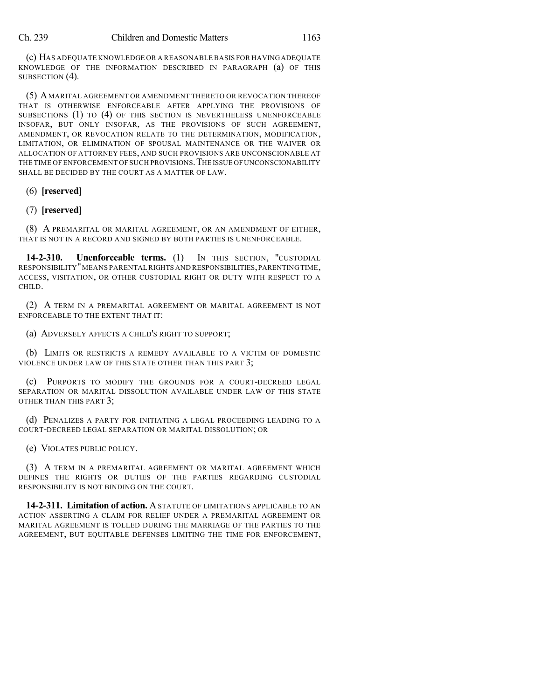(c) HAS ADEQUATE KNOWLEDGE OR A REASONABLE BASIS FOR HAVINGADEQUATE KNOWLEDGE OF THE INFORMATION DESCRIBED IN PARAGRAPH (a) OF THIS SUBSECTION (4).

(5) A MARITAL AGREEMENT OR AMENDMENT THERETO OR REVOCATION THEREOF THAT IS OTHERWISE ENFORCEABLE AFTER APPLYING THE PROVISIONS OF SUBSECTIONS (1) TO (4) OF THIS SECTION IS NEVERTHELESS UNENFORCEABLE INSOFAR, BUT ONLY INSOFAR, AS THE PROVISIONS OF SUCH AGREEMENT, AMENDMENT, OR REVOCATION RELATE TO THE DETERMINATION, MODIFICATION, LIMITATION, OR ELIMINATION OF SPOUSAL MAINTENANCE OR THE WAIVER OR ALLOCATION OF ATTORNEY FEES, AND SUCH PROVISIONS ARE UNCONSCIONABLE AT THE TIME OF ENFORCEMENT OF SUCH PROVISIONS. THE ISSUE OF UNCONSCIONABILITY SHALL BE DECIDED BY THE COURT AS A MATTER OF LAW.

#### (6) **[reserved]**

### (7) **[reserved]**

(8) A PREMARITAL OR MARITAL AGREEMENT, OR AN AMENDMENT OF EITHER, THAT IS NOT IN A RECORD AND SIGNED BY BOTH PARTIES IS UNENFORCEABLE.

**14-2-310. Unenforceable terms.** (1) IN THIS SECTION, "CUSTODIAL RESPONSIBILITY"MEANS PARENTAL RIGHTS AND RESPONSIBILITIES,PARENTING TIME, ACCESS, VISITATION, OR OTHER CUSTODIAL RIGHT OR DUTY WITH RESPECT TO A CHILD.

(2) A TERM IN A PREMARITAL AGREEMENT OR MARITAL AGREEMENT IS NOT ENFORCEABLE TO THE EXTENT THAT IT:

(a) ADVERSELY AFFECTS A CHILD'S RIGHT TO SUPPORT;

(b) LIMITS OR RESTRICTS A REMEDY AVAILABLE TO A VICTIM OF DOMESTIC VIOLENCE UNDER LAW OF THIS STATE OTHER THAN THIS PART 3;

(c) PURPORTS TO MODIFY THE GROUNDS FOR A COURT-DECREED LEGAL SEPARATION OR MARITAL DISSOLUTION AVAILABLE UNDER LAW OF THIS STATE OTHER THAN THIS PART 3;

(d) PENALIZES A PARTY FOR INITIATING A LEGAL PROCEEDING LEADING TO A COURT-DECREED LEGAL SEPARATION OR MARITAL DISSOLUTION; OR

(e) VIOLATES PUBLIC POLICY.

(3) A TERM IN A PREMARITAL AGREEMENT OR MARITAL AGREEMENT WHICH DEFINES THE RIGHTS OR DUTIES OF THE PARTIES REGARDING CUSTODIAL RESPONSIBILITY IS NOT BINDING ON THE COURT.

**14-2-311. Limitation of action.** ASTATUTE OF LIMITATIONS APPLICABLE TO AN ACTION ASSERTING A CLAIM FOR RELIEF UNDER A PREMARITAL AGREEMENT OR MARITAL AGREEMENT IS TOLLED DURING THE MARRIAGE OF THE PARTIES TO THE AGREEMENT, BUT EQUITABLE DEFENSES LIMITING THE TIME FOR ENFORCEMENT,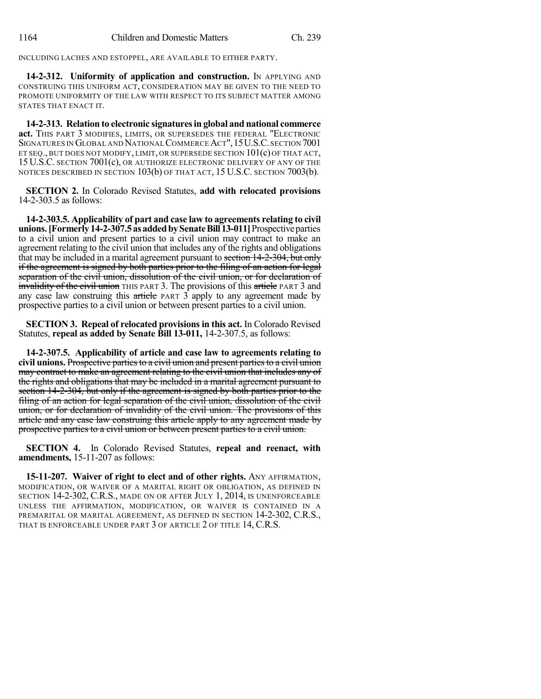INCLUDING LACHES AND ESTOPPEL, ARE AVAILABLE TO EITHER PARTY.

**14-2-312. Uniformity of application and construction.** IN APPLYING AND CONSTRUING THIS UNIFORM ACT, CONSIDERATION MAY BE GIVEN TO THE NEED TO PROMOTE UNIFORMITY OF THE LAW WITH RESPECT TO ITS SUBJECT MATTER AMONG STATES THAT ENACT IT.

**14-2-313. Relation to electronic signaturesin global and national commerce act.** THIS PART 3 MODIFIES, LIMITS, OR SUPERSEDES THE FEDERAL "ELECTRONIC SIGNATURES IN GLOBAL AND NATIONALCOMMERCEACT",15U.S.C.SECTION 7001 ET SEQ., BUT DOES NOT MODIFY, LIMIT, OR SUPERSEDE SECTION 101(c) OF THAT ACT, 15 U.S.C. SECTION 7001(c), OR AUTHORIZE ELECTRONIC DELIVERY OF ANY OF THE NOTICES DESCRIBED IN SECTION 103(b) OF THAT ACT, 15 U.S.C. SECTION 7003(b).

**SECTION 2.** In Colorado Revised Statutes, **add with relocated provisions** 14-2-303.5 as follows:

**14-2-303.5. Applicability of part and case law to agreements relating to civil unions.[Formerly14-2-307.5asaddedbySenateBill13-011]**Prospectiveparties to a civil union and present parties to a civil union may contract to make an agreement relating to the civil union that includes any of the rights and obligations that may be included in a marital agreement pursuant to section 14-2-304, but only if the agreement is signed by both parties prior to the filing of an action for legal separation of the civil union, dissolution of the civil union, or for declaration of invalidity of the civil union THIS PART 3. The provisions of this article PART 3 and any case law construing this article PART 3 apply to any agreement made by prospective parties to a civil union or between present parties to a civil union.

**SECTION 3. Repeal of relocated provisionsin this act.** In Colorado Revised Statutes, **repeal as added by Senate Bill 13-011,** 14-2-307.5, as follows:

**14-2-307.5. Applicability of article and case law to agreements relating to civil unions.** Prospective partiesto a civil union and present partiesto a civil union may contract to make an agreement relating to the civil union that includes any of the rights and obligations that may be included in a marital agreement pursuant to section 14-2-304, but only if the agreement is signed by both parties prior to the filing of an action for legal separation of the civil union, dissolution of the civil union, or for declaration of invalidity of the civil union. The provisions of this article and any case law construing this article apply to any agreement made by prospective parties to a civil union or between present parties to a civil union.

**SECTION 4.** In Colorado Revised Statutes, **repeal and reenact, with amendments,** 15-11-207 as follows:

**15-11-207. Waiver of right to elect and of other rights.** ANY AFFIRMATION, MODIFICATION, OR WAIVER OF A MARITAL RIGHT OR OBLIGATION, AS DEFINED IN SECTION 14-2-302, C.R.S., MADE ON OR AFTER JULY 1, 2014, IS UNENFORCEABLE UNLESS THE AFFIRMATION, MODIFICATION, OR WAIVER IS CONTAINED IN A PREMARITAL OR MARITAL AGREEMENT, AS DEFINED IN SECTION 14-2-302, C.R.S., THAT IS ENFORCEABLE UNDER PART 3 OF ARTICLE 2 OF TITLE 14, C.R.S.